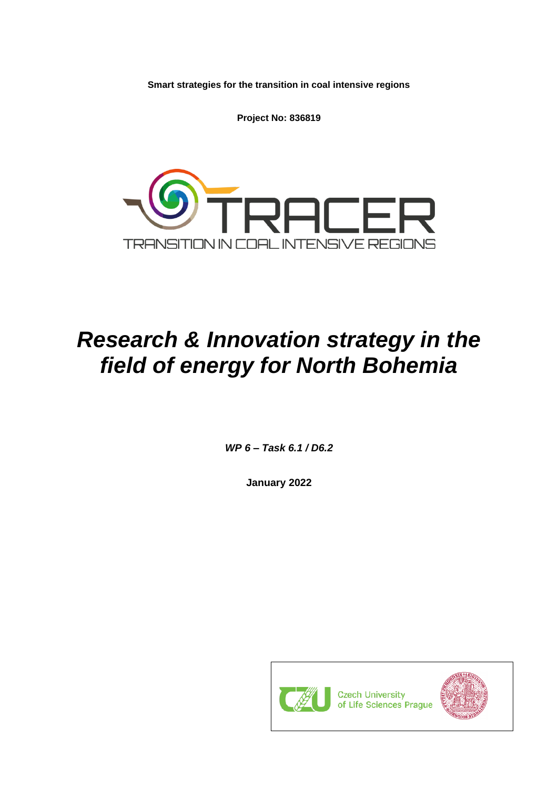**Smart strategies for the transition in coal intensive regions**

**Project No: 836819**



# *Research & Innovation strategy in the field of energy for North Bohemia*

*WP 6 – Task 6.1 / D6.2*

**January 2022**

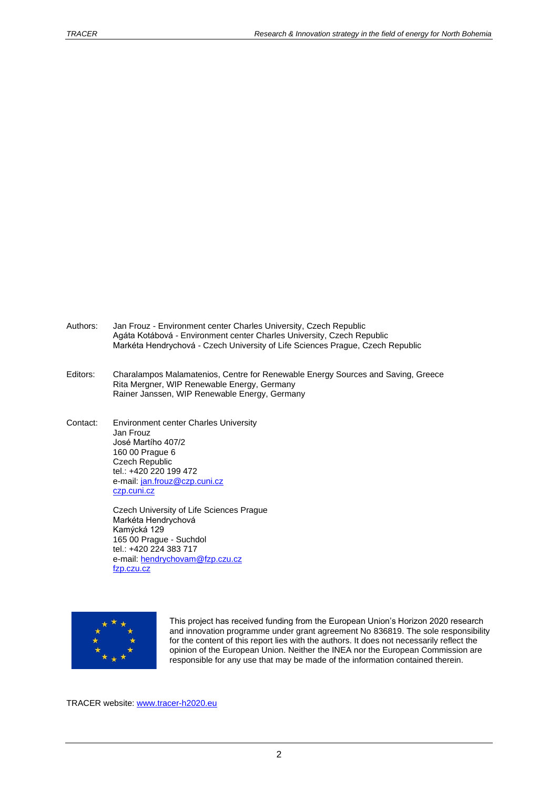- Authors: Jan Frouz Environment center Charles University, Czech Republic Agáta Kotábová - Environment center Charles University, Czech Republic Markéta Hendrychová - Czech University of Life Sciences Prague, Czech Republic
- Editors: Charalampos Malamatenios, Centre for Renewable Energy Sources and Saving, Greece Rita Mergner, WIP Renewable Energy, Germany Rainer Janssen, WIP Renewable Energy, Germany
- Contact: Environment center Charles University Jan Frouz José Martího 407/2 160 00 Prague 6 Czech Republic tel.: +420 220 199 472 e-mail: [jan.frouz@czp.cuni.cz](mailto:jan.frouz@czp.cuni.cz) czp.cuni.cz

Czech University of Life Sciences Prague Markéta Hendrychová Kamýcká 129 165 00 Prague - Suchdol tel.: +420 224 383 717 e-mail: [hendrychovam@fzp.czu.cz](mailto:hendrychovam@fzp.czu.cz) fzp.czu.cz



This project has received funding from the European Union's Horizon 2020 research and innovation programme under grant agreement No 836819. The sole responsibility for the content of this report lies with the authors. It does not necessarily reflect the opinion of the European Union. Neither the INEA nor the European Commission are responsible for any use that may be made of the information contained therein.

TRACER website: [www.tracer-h2020.eu](http://www.tracer-h2020.eu/)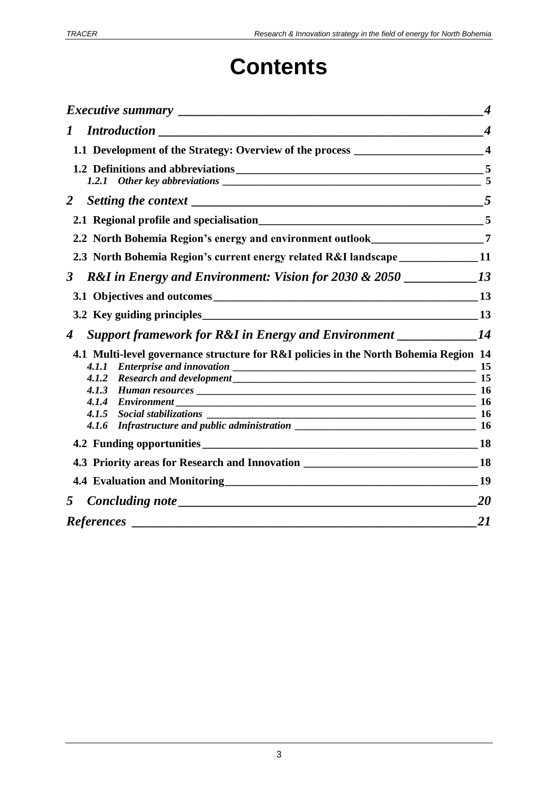# **Contents**

|                      |                                                                                                      | $\boldsymbol{4}$ |
|----------------------|------------------------------------------------------------------------------------------------------|------------------|
| $\boldsymbol{I}$     |                                                                                                      | $\boldsymbol{4}$ |
|                      | 1.1 Development of the Strategy: Overview of the process ________________________4                   |                  |
|                      |                                                                                                      |                  |
|                      |                                                                                                      |                  |
|                      |                                                                                                      |                  |
|                      | 2.2 North Bohemia Region's energy and environment outlook__________________7                         |                  |
|                      | 2.3 North Bohemia Region's current energy related R&I landscape ______________11                     |                  |
| $\boldsymbol{\beta}$ |                                                                                                      |                  |
|                      |                                                                                                      |                  |
|                      |                                                                                                      |                  |
| 4                    | <b>Support framework for R&amp;I in Energy and Environment</b> _____________14                       |                  |
|                      | 4.1 Multi-level governance structure for R&I policies in the North Bohemia Region 14<br><i>4.1.1</i> |                  |
|                      | Research and development 15<br>4.1.2                                                                 |                  |
|                      | 4.1.3                                                                                                |                  |
|                      | 4.1.4<br>$Environment$ 16                                                                            |                  |
|                      |                                                                                                      |                  |
|                      |                                                                                                      |                  |
|                      |                                                                                                      |                  |
|                      | 4.3 Priority areas for Research and Innovation __________________________________18                  |                  |
|                      | 4.4 Evaluation and Monitoring 19                                                                     |                  |
| 5                    |                                                                                                      |                  |
|                      | $\overline{\phantom{a}21}$                                                                           |                  |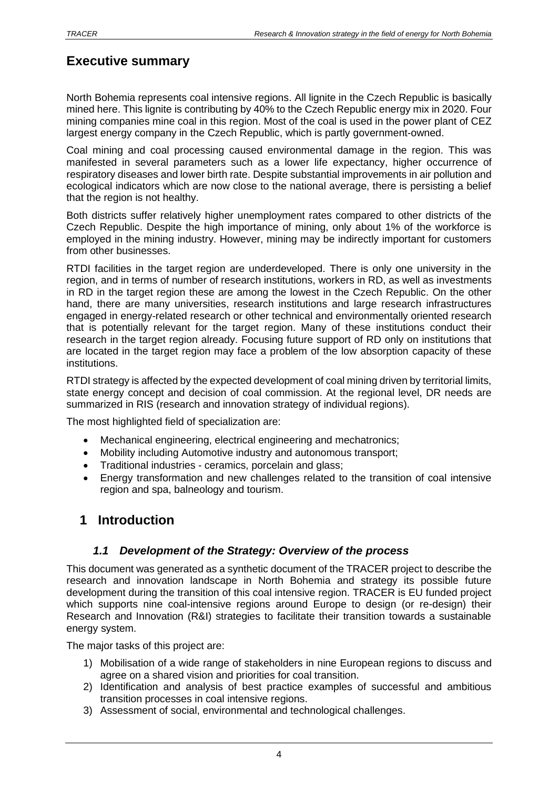# <span id="page-3-0"></span>**Executive summary**

North Bohemia represents coal intensive regions. All lignite in the Czech Republic is basically mined here. This lignite is contributing by 40% to the Czech Republic energy mix in 2020. Four mining companies mine coal in this region. Most of the coal is used in the power plant of CEZ largest energy company in the Czech Republic, which is partly government-owned.

Coal mining and coal processing caused environmental damage in the region. This was manifested in several parameters such as a lower life expectancy, higher occurrence of respiratory diseases and lower birth rate. Despite substantial improvements in air pollution and ecological indicators which are now close to the national average, there is persisting a belief that the region is not healthy.

Both districts suffer relatively higher unemployment rates compared to other districts of the Czech Republic. Despite the high importance of mining, only about 1% of the workforce is employed in the mining industry. However, mining may be indirectly important for customers from other businesses.

RTDI facilities in the target region are underdeveloped. There is only one university in the region, and in terms of number of research institutions, workers in RD, as well as investments in RD in the target region these are among the lowest in the Czech Republic. On the other hand, there are many universities, research institutions and large research infrastructures engaged in energy-related research or other technical and environmentally oriented research that is potentially relevant for the target region. Many of these institutions conduct their research in the target region already. Focusing future support of RD only on institutions that are located in the target region may face a problem of the low absorption capacity of these institutions.

RTDI strategy is affected by the expected development of coal mining driven by territorial limits, state energy concept and decision of coal commission. At the regional level, DR needs are summarized in RIS (research and innovation strategy of individual regions).

The most highlighted field of specialization are:

- Mechanical engineering, electrical engineering and mechatronics;
- Mobility including Automotive industry and autonomous transport:
- Traditional industries ceramics, porcelain and glass;
- Energy transformation and new challenges related to the transition of coal intensive region and spa, balneology and tourism.

## <span id="page-3-2"></span><span id="page-3-1"></span>**1 Introduction**

### *1.1 Development of the Strategy: Overview of the process*

This document was generated as a synthetic document of the TRACER project to describe the research and innovation landscape in North Bohemia and strategy its possible future development during the transition of this coal intensive region. TRACER is EU funded project which supports nine coal-intensive regions around Europe to design (or re-design) their Research and Innovation (R&I) strategies to facilitate their transition towards a sustainable energy system.

The major tasks of this project are:

- 1) Mobilisation of a wide range of stakeholders in nine European regions to discuss and agree on a shared vision and priorities for coal transition.
- 2) Identification and analysis of best practice examples of successful and ambitious transition processes in coal intensive regions.
- 3) Assessment of social, environmental and technological challenges.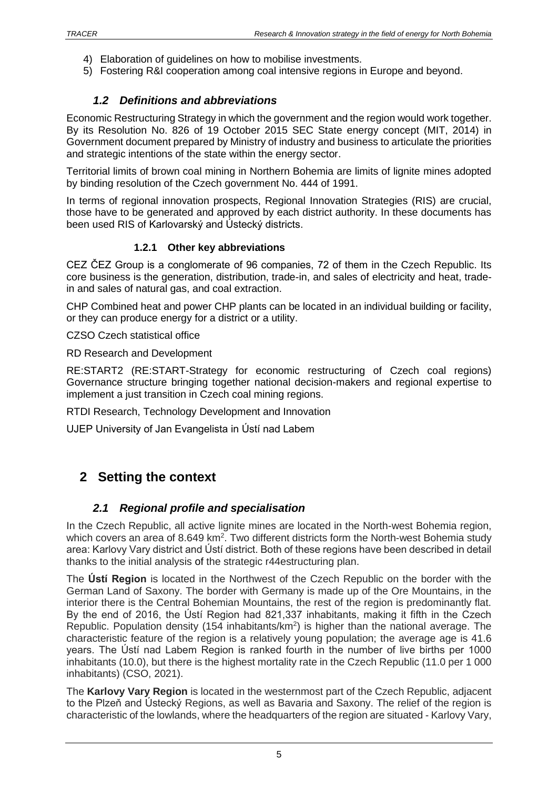- 4) Elaboration of guidelines on how to mobilise investments.
- <span id="page-4-0"></span>5) Fostering R&I cooperation among coal intensive regions in Europe and beyond.

### *1.2 Definitions and abbreviations*

Economic Restructuring Strategy in which the government and the region would work together. By its Resolution No. 826 of 19 October 2015 SEC State energy concept (MIT, 2014) in Government document prepared by Ministry of industry and business to articulate the priorities and strategic intentions of the state within the energy sector.

Territorial limits of brown coal mining in Northern Bohemia are limits of lignite mines adopted by binding resolution of the Czech government No. 444 of 1991.

In terms of regional innovation prospects, Regional Innovation Strategies (RIS) are crucial, those have to be generated and approved by each district authority. In these documents has been used RIS of Karlovarský and Ústecký districts.

### **1.2.1 Other key abbreviations**

<span id="page-4-1"></span>CEZ ČEZ Group is a conglomerate of 96 companies, 72 of them in the Czech Republic. Its core business is the generation, distribution, trade-in, and sales of electricity and heat, tradein and sales of natural gas, and coal extraction.

CHP Combined heat and power CHP plants can be located in an individual building or facility, or they can produce energy for a district or a utility.

CZSO Czech statistical office

RD Research and Development

RE:START2 (RE:START-Strategy for economic restructuring of Czech coal regions) Governance structure bringing together national decision-makers and regional expertise to implement a just transition in Czech coal mining regions.

RTDI Research, Technology Development and Innovation

UJEP University of Jan Evangelista in Ústí nad Labem

# <span id="page-4-3"></span><span id="page-4-2"></span>**2 Setting the context**

### *2.1 Regional profile and specialisation*

In the Czech Republic, all active lignite mines are located in the North-west Bohemia region, which covers an area of 8.649 km<sup>2</sup>. Two different districts form the North-west Bohemia study area: Karlovy Vary district and Ústí district. Both of these regions have been described in detail thanks to the initial analysis of the strategic r44estructuring plan.

The **Ústí Region** is located in the Northwest of the Czech Republic on the border with the German Land of Saxony. The border with Germany is made up of the Ore Mountains, in the interior there is the Central Bohemian Mountains, the rest of the region is predominantly flat. By the end of 2016, the Ústí Region had 821,337 inhabitants, making it fifth in the Czech Republic. Population density (154 inhabitants/km<sup>2</sup>) is higher than the national average. The characteristic feature of the region is a relatively young population; the average age is 41.6 years. The Ústí nad Labem Region is ranked fourth in the number of live births per 1000 inhabitants (10.0), but there is the highest mortality rate in the Czech Republic (11.0 per 1 000 inhabitants) (CSO, 2021).

The **Karlovy Vary Region** is located in the westernmost part of the Czech Republic, adjacent to the Plzeň and Ústecký Regions, as well as Bavaria and Saxony. The relief of the region is characteristic of the lowlands, where the headquarters of the region are situated - Karlovy Vary,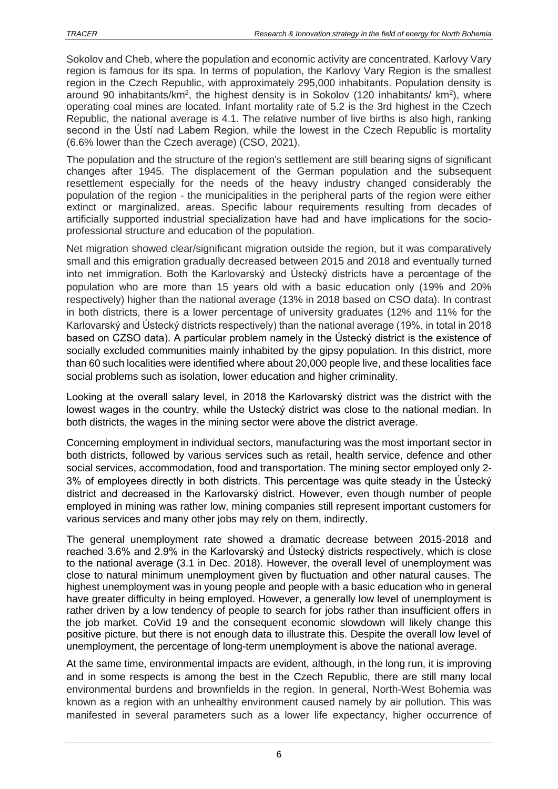Sokolov and Cheb, where the population and economic activity are concentrated. Karlovy Vary region is famous for its spa. In terms of population, the Karlovy Vary Region is the smallest region in the Czech Republic, with approximately 295,000 inhabitants. Population density is around 90 inhabitants/km<sup>2</sup>, the highest density is in Sokolov (120 inhabitants/ km<sup>2</sup>), where operating coal mines are located. Infant mortality rate of 5.2 is the 3rd highest in the Czech Republic, the national average is 4.1. The relative number of live births is also high, ranking second in the Ústí nad Labem Region, while the lowest in the Czech Republic is mortality (6.6% lower than the Czech average) (CSO, 2021).

The population and the structure of the region's settlement are still bearing signs of significant changes after 1945. The displacement of the German population and the subsequent resettlement especially for the needs of the heavy industry changed considerably the population of the region - the municipalities in the peripheral parts of the region were either extinct or marginalized, areas. Specific labour requirements resulting from decades of artificially supported industrial specialization have had and have implications for the socioprofessional structure and education of the population.

Net migration showed clear/significant migration outside the region, but it was comparatively small and this emigration gradually decreased between 2015 and 2018 and eventually turned into net immigration. Both the Karlovarský and Ústecký districts have a percentage of the population who are more than 15 years old with a basic education only (19% and 20% respectively) higher than the national average (13% in 2018 based on CSO data). In contrast in both districts, there is a lower percentage of university graduates (12% and 11% for the Karlovarský and Ústecký districts respectively) than the national average (19%, in total in 2018 based on CZSO data). A particular problem namely in the Ústecký district is the existence of socially excluded communities mainly inhabited by the gipsy population. In this district, more than 60 such localities were identified where about 20,000 people live, and these localities face social problems such as isolation, lower education and higher criminality.

Looking at the overall salary level, in 2018 the Karlovarský district was the district with the lowest wages in the country, while the Ustecký district was close to the national median. In both districts, the wages in the mining sector were above the district average.

Concerning employment in individual sectors, manufacturing was the most important sector in both districts, followed by various services such as retail, health service, defence and other social services, accommodation, food and transportation. The mining sector employed only 2- 3% of employees directly in both districts. This percentage was quite steady in the Ústecký district and decreased in the Karlovarský district. However, even though number of people employed in mining was rather low, mining companies still represent important customers for various services and many other jobs may rely on them, indirectly.

The general unemployment rate showed a dramatic decrease between 2015-2018 and reached 3.6% and 2.9% in the Karlovarský and Ústecký districts respectively, which is close to the national average (3.1 in Dec. 2018). However, the overall level of unemployment was close to natural minimum unemployment given by fluctuation and other natural causes. The highest unemployment was in young people and people with a basic education who in general have greater difficulty in being employed. However, a generally low level of unemployment is rather driven by a low tendency of people to search for jobs rather than insufficient offers in the job market. CoVid 19 and the consequent economic slowdown will likely change this positive picture, but there is not enough data to illustrate this. Despite the overall low level of unemployment, the percentage of long-term unemployment is above the national average.

At the same time, environmental impacts are evident, although, in the long run, it is improving and in some respects is among the best in the Czech Republic, there are still many local environmental burdens and brownfields in the region. In general, North-West Bohemia was known as a region with an unhealthy environment caused namely by air pollution. This was manifested in several parameters such as a lower life expectancy, higher occurrence of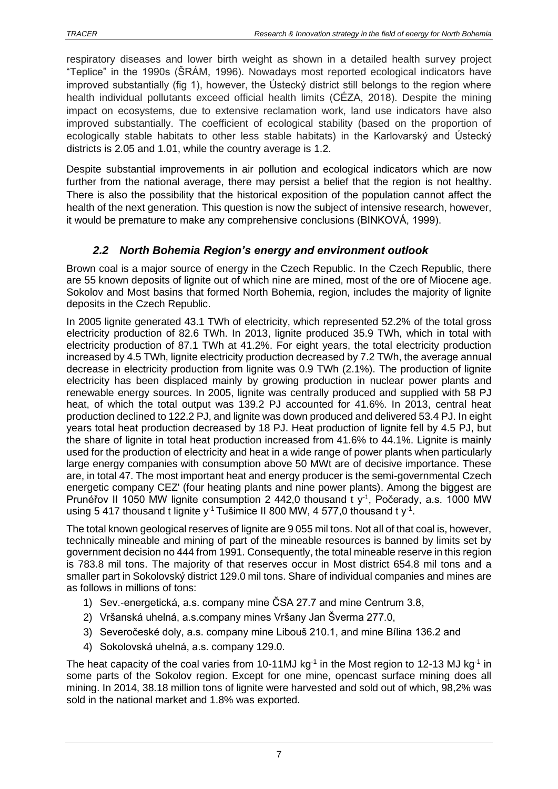respiratory diseases and lower birth weight as shown in a detailed health survey project "Teplice" in the 1990s (ŠRÁM, 1996). Nowadays most reported ecological indicators have improved substantially (fig 1), however, the Ústecký district still belongs to the region where health individual pollutants exceed official health limits (CÉZA, 2018). Despite the mining impact on ecosystems, due to extensive reclamation work, land use indicators have also improved substantially. The coefficient of ecological stability (based on the proportion of ecologically stable habitats to other less stable habitats) in the Karlovarský and Ústecký districts is 2.05 and 1.01, while the country average is 1.2.

Despite substantial improvements in air pollution and ecological indicators which are now further from the national average, there may persist a belief that the region is not healthy. There is also the possibility that the historical exposition of the population cannot affect the health of the next generation. This question is now the subject of intensive research, however, it would be premature to make any comprehensive conclusions (BINKOVÁ, 1999).

### *2.2 North Bohemia Region's energy and environment outlook*

<span id="page-6-0"></span>Brown coal is a major source of energy in the Czech Republic. In the Czech Republic, there are 55 known deposits of lignite out of which nine are mined, most of the ore of Miocene age. Sokolov and Most basins that formed North Bohemia, region, includes the majority of lignite deposits in the Czech Republic.

In 2005 lignite generated 43.1 TWh of electricity, which represented 52.2% of the total gross electricity production of 82.6 TWh. In 2013, lignite produced 35.9 TWh, which in total with electricity production of 87.1 TWh at 41.2%. For eight years, the total electricity production increased by 4.5 TWh, lignite electricity production decreased by 7.2 TWh, the average annual decrease in electricity production from lignite was 0.9 TWh (2.1%). The production of lignite electricity has been displaced mainly by growing production in nuclear power plants and renewable energy sources. In 2005, lignite was centrally produced and supplied with 58 PJ heat, of which the total output was 139.2 PJ accounted for 41.6%. In 2013, central heat production declined to 122.2 PJ, and lignite was down produced and delivered 53.4 PJ. In eight years total heat production decreased by 18 PJ. Heat production of lignite fell by 4.5 PJ, but the share of lignite in total heat production increased from 41.6% to 44.1%. Lignite is mainly used for the production of electricity and heat in a wide range of power plants when particularly large energy companies with consumption above 50 MWt are of decisive importance. These are, in total 47. The most important heat and energy producer is the semi-governmental Czech energetic company CEZ' (four heating plants and nine power plants). Among the biggest are Prunéřov II 1050 MW lignite consumption 2 442,0 thousand t  $y^{-1}$ , Počerady, a.s. 1000 MW using 5 417 thousand t lignite y<sup>-1</sup> Tušimice II 800 MW, 4 577,0 thousand t y<sup>-1</sup>.

The total known geological reserves of lignite are 9 055 mil tons. Not all of that coal is, however, technically mineable and mining of part of the mineable resources is banned by limits set by government decision no 444 from 1991. Consequently, the total mineable reserve in this region is 783.8 mil tons. The majority of that reserves occur in Most district 654.8 mil tons and a smaller part in Sokolovský district 129.0 mil tons. Share of individual companies and mines are as follows in millions of tons:

- 1) Sev.-energetická, a.s. company mine ČSA 27.7 and mine Centrum 3.8,
- 2) Vršanská uhelná, a.s.company mines Vršany Jan Šverma 277.0,
- 3) Severočeské doly, a.s. company mine Libouš 210.1, and mine Bílina 136.2 and
- 4) Sokolovská uhelná, a.s. company 129.0.

The heat capacity of the coal varies from 10-11MJ kg<sup>-1</sup> in the Most region to 12-13 MJ kg<sup>-1</sup> in some parts of the Sokolov region. Except for one mine, opencast surface mining does all mining. In 2014, 38.18 million tons of lignite were harvested and sold out of which, 98,2% was sold in the national market and 1.8% was exported.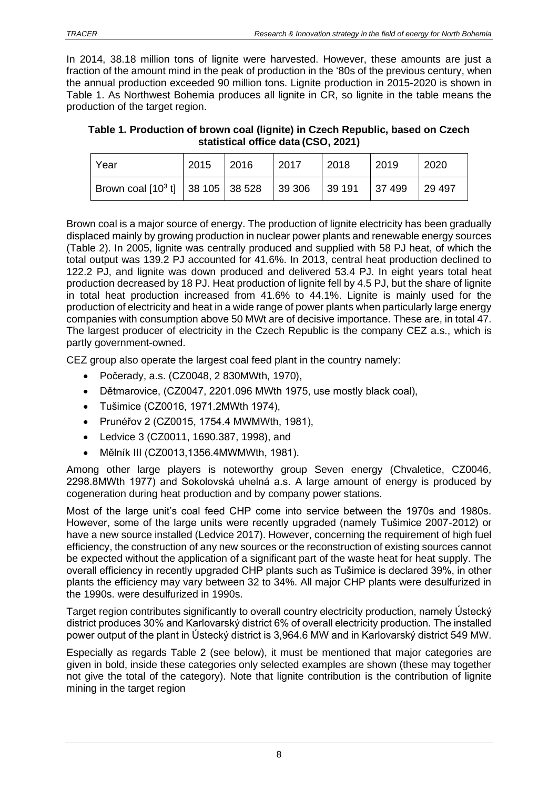In 2014, 38.18 million tons of lignite were harvested. However, these amounts are just a fraction of the amount mind in the peak of production in the '80s of the previous century, when the annual production exceeded 90 million tons. Lignite production in 2015-2020 is shown in Table 1. As Northwest Bohemia produces all lignite in CR, so lignite in the table means the production of the target region.

<span id="page-7-0"></span>**Table 1. Production of brown coal (lignite) in Czech Republic, based on Czech statistical office data (CSO, 2021)**

| Year                                                      | 2015 | 2016 | 2017 | 2018 | 2019  | 2020   |
|-----------------------------------------------------------|------|------|------|------|-------|--------|
| Brown coal $[10^3 \text{ t}]$ 38 105 38 528 39 306 39 191 |      |      |      |      | 37499 | 29 497 |

Brown coal is a major source of energy. The production of lignite electricity has been gradually displaced mainly by growing production in nuclear power plants and renewable energy sources (Table 2). In 2005, lignite was centrally produced and supplied with 58 PJ heat, of which the total output was 139.2 PJ accounted for 41.6%. In 2013, central heat production declined to 122.2 PJ, and lignite was down produced and delivered 53.4 PJ. In eight years total heat production decreased by 18 PJ. Heat production of lignite fell by 4.5 PJ, but the share of lignite in total heat production increased from 41.6% to 44.1%. Lignite is mainly used for the production of electricity and heat in a wide range of power plants when particularly large energy companies with consumption above 50 MWt are of decisive importance. These are, in total 47. The largest producer of electricity in the Czech Republic is the company CEZ a.s., which is partly government-owned.

CEZ group also operate the largest coal feed plant in the country namely:

- Počerady, a.s. (CZ0048, 2 830MWth, 1970),
- Dětmarovice, (CZ0047, 2201.096 MWth 1975, use mostly black coal),
- Tušimice (CZ0016, 1971.2MWth 1974),
- Prunéřov 2 (CZ0015, 1754.4 MWMWth, 1981),
- Ledvice 3 (CZ0011, 1690.387, 1998), and
- Mělník III (CZ0013,1356.4MWMWth, 1981).

Among other large players is noteworthy group Seven energy (Chvaletice, CZ0046, 2298.8MWth 1977) and Sokolovská uhelná a.s. A large amount of energy is produced by cogeneration during heat production and by company power stations.

Most of the large unit's coal feed CHP come into service between the 1970s and 1980s. However, some of the large units were recently upgraded (namely Tušimice 2007-2012) or have a new source installed (Ledvice 2017). However, concerning the requirement of high fuel efficiency, the construction of any new sources or the reconstruction of existing sources cannot be expected without the application of a significant part of the waste heat for heat supply. The overall efficiency in recently upgraded CHP plants such as Tušimice is declared 39%, in other plants the efficiency may vary between 32 to 34%. All major CHP plants were desulfurized in the 1990s. were desulfurized in 1990s.

Target region contributes significantly to overall country electricity production, namely Ústecký district produces 30% and Karlovarský district 6% of overall electricity production. The installed power output of the plant in Ústecký district is 3,964.6 MW and in Karlovarský district 549 MW.

Especially as regards Table 2 (see below), it must be mentioned that major categories are given in bold, inside these categories only selected examples are shown (these may together not give the total of the category). Note that lignite contribution is the contribution of lignite mining in the target region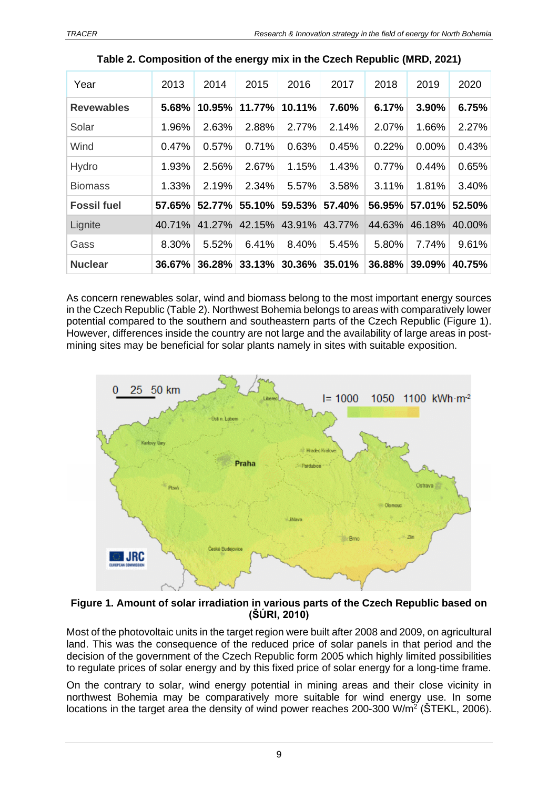<span id="page-8-0"></span>

| Year               | 2013   | 2014   | 2015   | 2016   | 2017   | 2018   | 2019   | 2020   |
|--------------------|--------|--------|--------|--------|--------|--------|--------|--------|
| <b>Revewables</b>  | 5.68%  | 10.95% | 11.77% | 10.11% | 7.60%  | 6.17%  | 3.90%  | 6.75%  |
| Solar              | 1.96%  | 2.63%  | 2.88%  | 2.77%  | 2.14%  | 2.07%  | 1.66%  | 2.27%  |
| Wind               | 0.47%  | 0.57%  | 0.71%  | 0.63%  | 0.45%  | 0.22%  | 0.00%  | 0.43%  |
| Hydro              | 1.93%  | 2.56%  | 2.67%  | 1.15%  | 1.43%  | 0.77%  | 0.44%  | 0.65%  |
| <b>Biomass</b>     | 1.33%  | 2.19%  | 2.34%  | 5.57%  | 3.58%  | 3.11%  | 1.81%  | 3.40%  |
| <b>Fossil fuel</b> | 57.65% | 52.77% | 55.10% | 59.53% | 57.40% | 56.95% | 57.01% | 52.50% |
| Lignite            | 40.71% | 41.27% | 42.15% | 43.91% | 43.77% | 44.63% | 46.18% | 40.00% |
| Gass               | 8.30%  | 5.52%  | 6.41%  | 8.40%  | 5.45%  | 5.80%  | 7.74%  | 9.61%  |
| <b>Nuclear</b>     | 36.67% | 36.28% | 33.13% | 30.36% | 35.01% | 36.88% | 39.09% | 40.75% |

| Table 2. Composition of the energy mix in the Czech Republic (MRD, 2021) |  |  |
|--------------------------------------------------------------------------|--|--|
|                                                                          |  |  |

As concern renewables solar, wind and biomass belong to the most important energy sources in the Czech Republic (Table 2). Northwest Bohemia belongs to areas with comparatively lower potential compared to the southern and southeastern parts of the Czech Republic (Figure 1). However, differences inside the country are not large and the availability of large areas in postmining sites may be beneficial for solar plants namely in sites with suitable exposition.



#### <span id="page-8-1"></span>**Figure 1. Amount of solar irradiation in various parts of the Czech Republic based on (ŠÚRI, 2010)**

Most of the photovoltaic units in the target region were built after 2008 and 2009, on agricultural land. This was the consequence of the reduced price of solar panels in that period and the decision of the government of the Czech Republic form 2005 which highly limited possibilities to regulate prices of solar energy and by this fixed price of solar energy for a long-time frame.

On the contrary to solar, wind energy potential in mining areas and their close vicinity in northwest Bohemia may be comparatively more suitable for wind energy use. In some locations in the target area the density of wind power reaches 200-300 W/m<sup>2</sup> (ŠTEKL, 2006).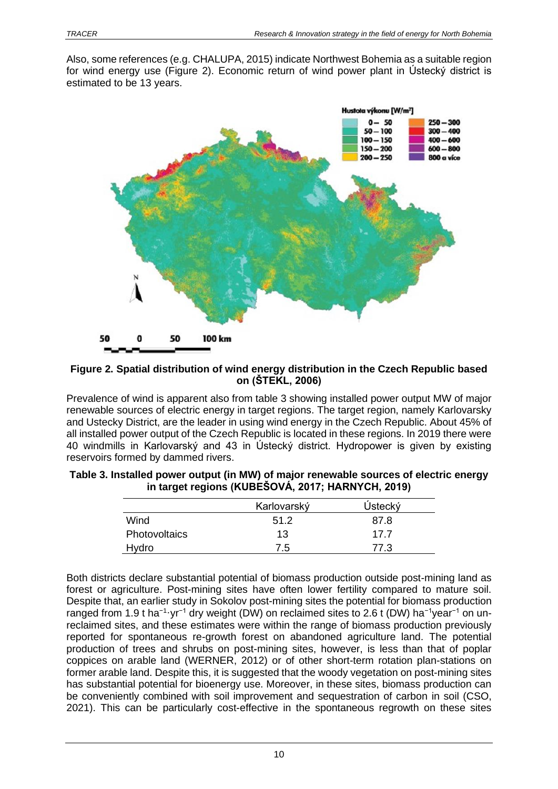Also, some references (e.g. CHALUPA, 2015) indicate Northwest Bohemia as a suitable region for wind energy use (Figure 2). Economic return of wind power plant in Ústecký district is estimated to be 13 years.



#### <span id="page-9-1"></span>**Figure 2. Spatial distribution of wind energy distribution in the Czech Republic based on (ŠTEKL, 2006)**

Prevalence of wind is apparent also from table 3 showing installed power output MW of major renewable sources of electric energy in target regions. The target region, namely Karlovarsky and Ustecky District, are the leader in using wind energy in the Czech Republic. About 45% of all installed power output of the Czech Republic is located in these regions. In 2019 there were 40 windmills in Karlovarský and 43 in Ústecký district. Hydropower is given by existing reservoirs formed by dammed rivers.

| -                    |             |         |
|----------------------|-------------|---------|
|                      | Karlovarský | Ústecký |
| Wind                 | 51.2        | 87.8    |
| <b>Photovoltaics</b> | 13          | 17.7    |
| Hydro                | 7.5         | 77.3    |

<span id="page-9-0"></span>

| Table 3. Installed power output (in MW) of major renewable sources of electric energy |
|---------------------------------------------------------------------------------------|
| in target regions (KUBESOVÁ, 2017; HARNYCH, 2019)                                     |

Both districts declare substantial potential of biomass production outside post-mining land as forest or agriculture. Post-mining sites have often lower fertility compared to mature soil. Despite that, an earlier study in Sokolov post-mining sites the potential for biomass production ranged from 1.9 t ha<sup>-1</sup>·yr<sup>-1</sup> dry weight (DW) on reclaimed sites to 2.6 t (DW) ha<sup>-1</sup>year<sup>-1</sup> on unreclaimed sites, and these estimates were within the range of biomass production previously reported for spontaneous re-growth forest on abandoned agriculture land. The potential production of trees and shrubs on post-mining sites, however, is less than that of poplar coppices on arable land (WERNER, 2012) or of other short-term rotation plan-stations on former arable land. Despite this, it is suggested that the woody vegetation on post-mining sites has substantial potential for bioenergy use. Moreover, in these sites, biomass production can be conveniently combined with soil improvement and sequestration of carbon in soil (CSO, 2021). This can be particularly cost-effective in the spontaneous regrowth on these sites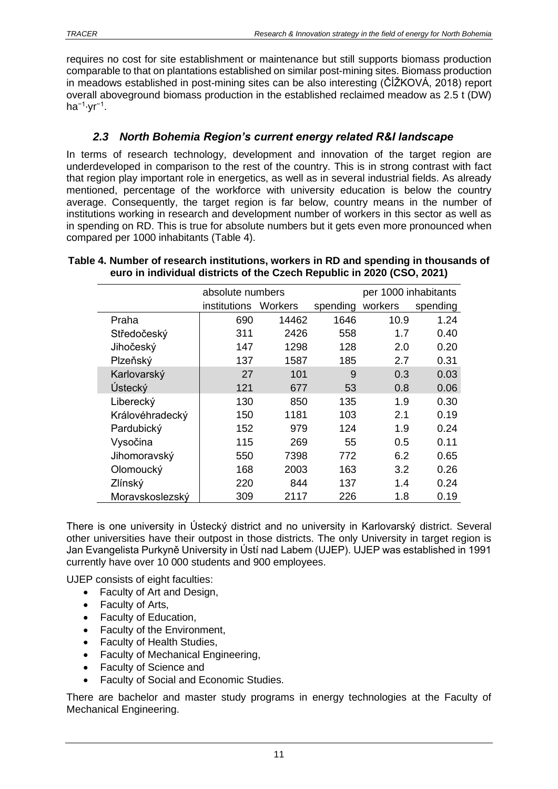requires no cost for site establishment or maintenance but still supports biomass production comparable to that on plantations established on similar post-mining sites. Biomass production in meadows established in post-mining sites can be also interesting (ČÍŽKOVÁ, 2018) report overall aboveground biomass production in the established reclaimed meadow as 2.5 t (DW) ha<sup>−1</sup>·yr<sup>−1</sup>.

# *2.3 North Bohemia Region's current energy related R&I landscape*

<span id="page-10-0"></span>In terms of research technology, development and innovation of the target region are underdeveloped in comparison to the rest of the country. This is in strong contrast with fact that region play important role in energetics, as well as in several industrial fields. As already mentioned, percentage of the workforce with university education is below the country average. Consequently, the target region is far below, country means in the number of institutions working in research and development number of workers in this sector as well as in spending on RD. This is true for absolute numbers but it gets even more pronounced when compared per 1000 inhabitants (Table 4).

|  |                 | absolute numbers |         |          | per 1000 inhabitants |          |  |
|--|-----------------|------------------|---------|----------|----------------------|----------|--|
|  |                 | institutions     | Workers | spending | workers              | spending |  |
|  | Praha           | 690              | 14462   | 1646     | 10.9                 | 1.24     |  |
|  | Středočeský     | 311              | 2426    | 558      | 1.7                  | 0.40     |  |
|  | Jihočeský       | 147              | 1298    | 128      | 2.0                  | 0.20     |  |
|  | Plzeňský        | 137              | 1587    | 185      | 2.7                  | 0.31     |  |
|  | Karlovarský     | 27               | 101     | 9        | 0.3                  | 0.03     |  |
|  | Ústecký         | 121              | 677     | 53       | 0.8                  | 0.06     |  |
|  | Liberecký       | 130              | 850     | 135      | 1.9                  | 0.30     |  |
|  | Královéhradecký | 150              | 1181    | 103      | 2.1                  | 0.19     |  |
|  | Pardubický      | 152              | 979     | 124      | 1.9                  | 0.24     |  |
|  | Vysočina        | 115              | 269     | 55       | 0.5                  | 0.11     |  |
|  | Jihomoravský    | 550              | 7398    | 772      | 6.2                  | 0.65     |  |
|  | Olomoucký       | 168              | 2003    | 163      | 3.2                  | 0.26     |  |
|  | Zlínský         | 220              | 844     | 137      | 1.4                  | 0.24     |  |
|  | Moravskoslezský | 309              | 2117    | 226      | 1.8                  | 0.19     |  |

### <span id="page-10-1"></span>**Table 4. Number of research institutions, workers in RD and spending in thousands of euro in individual districts of the Czech Republic in 2020 (CSO, 2021)**

There is one university in Ústecký district and no university in Karlovarský district. Several other universities have their outpost in those districts. The only University in target region is Jan Evangelista Purkyně University in Ústí nad Labem (UJEP). UJEP was established in 1991 currently have over 10 000 students and 900 employees.

UJEP consists of eight faculties:

- Faculty of Art and Design,
- Faculty of Arts,
- Faculty of Education,
- Faculty of the Environment,
- Faculty of Health Studies,
- Faculty of Mechanical Engineering,
- Faculty of Science and
- Faculty of Social and Economic Studies.

There are bachelor and master study programs in energy technologies at the Faculty of Mechanical Engineering.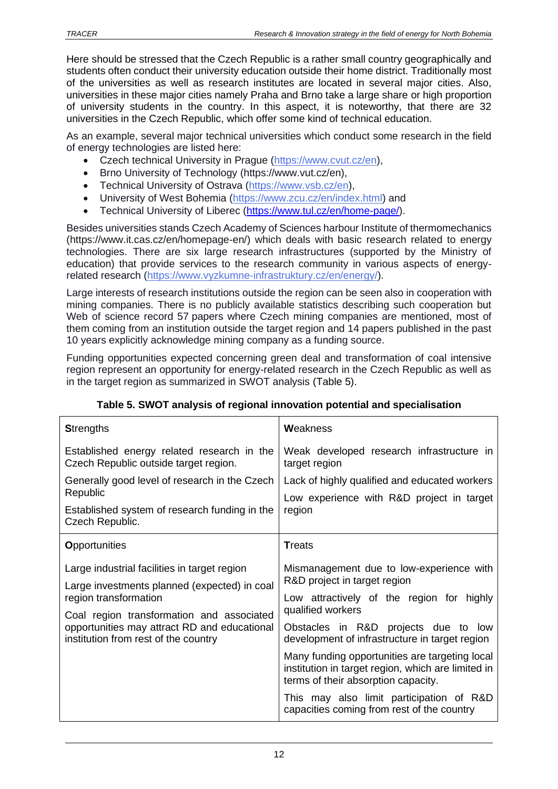Here should be stressed that the Czech Republic is a rather small country geographically and students often conduct their university education outside their home district. Traditionally most of the universities as well as research institutes are located in several major cities. Also, universities in these major cities namely Praha and Brno take a large share or high proportion of university students in the country. In this aspect, it is noteworthy, that there are 32 universities in the Czech Republic, which offer some kind of technical education.

As an example, several major technical universities which conduct some research in the field of energy technologies are listed here:

- Czech technical University in Prague [\(https://www.cvut.cz/en\)](https://www.cvut.cz/en).
- Brno University of Technology (https://www.vut.cz/en),
- Technical University of Ostrava (https://www.ysb.cz/en).
- University of West Bohemia [\(https://www.zcu.cz/en/index.html\)](https://www.zcu.cz/en/index.html) and
- Technical University of Liberec [\(https://www.tul.cz/en/home-page/\)](https://www.tul.cz/en/home-page/).

Besides universities stands Czech Academy of Sciences harbour Institute of thermomechanics (https://www.it.cas.cz/en/homepage-en/) which deals with basic research related to energy technologies. There are six large research infrastructures (supported by the Ministry of education) that provide services to the research community in various aspects of energyrelated research [\(https://www.vyzkumne-infrastruktury.cz/en/energy/\)](https://www.vyzkumne-infrastruktury.cz/en/energy/).

Large interests of research institutions outside the region can be seen also in cooperation with mining companies. There is no publicly available statistics describing such cooperation but Web of science record 57 papers where Czech mining companies are mentioned, most of them coming from an institution outside the target region and 14 papers published in the past 10 years explicitly acknowledge mining company as a funding source.

Funding opportunities expected concerning green deal and transformation of coal intensive region represent an opportunity for energy-related research in the Czech Republic as well as in the target region as summarized in SWOT analysis (Table 5).

<span id="page-11-0"></span>

| <b>Strengths</b>                                                                                                                                                                                                                                           | Weakness                                                                                                                                                                                                                                                                                                                                                                            |  |  |
|------------------------------------------------------------------------------------------------------------------------------------------------------------------------------------------------------------------------------------------------------------|-------------------------------------------------------------------------------------------------------------------------------------------------------------------------------------------------------------------------------------------------------------------------------------------------------------------------------------------------------------------------------------|--|--|
| Established energy related research in the<br>Czech Republic outside target region.                                                                                                                                                                        | Weak developed research infrastructure in<br>target region                                                                                                                                                                                                                                                                                                                          |  |  |
| Generally good level of research in the Czech<br>Republic                                                                                                                                                                                                  | Lack of highly qualified and educated workers<br>Low experience with R&D project in target<br>region                                                                                                                                                                                                                                                                                |  |  |
| Established system of research funding in the<br>Czech Republic.                                                                                                                                                                                           |                                                                                                                                                                                                                                                                                                                                                                                     |  |  |
| <b>Opportunities</b>                                                                                                                                                                                                                                       | <b>Treats</b>                                                                                                                                                                                                                                                                                                                                                                       |  |  |
| Large industrial facilities in target region<br>Large investments planned (expected) in coal<br>region transformation<br>Coal region transformation and associated<br>opportunities may attract RD and educational<br>institution from rest of the country | Mismanagement due to low-experience with<br>R&D project in target region<br>Low attractively of the region for highly<br>qualified workers<br>Obstacles in R&D projects due to low<br>development of infrastructure in target region<br>Many funding opportunities are targeting local<br>institution in target region, which are limited in<br>terms of their absorption capacity. |  |  |
|                                                                                                                                                                                                                                                            | This may also limit participation of R&D<br>capacities coming from rest of the country                                                                                                                                                                                                                                                                                              |  |  |

### **Table 5. SWOT analysis of regional innovation potential and specialisation**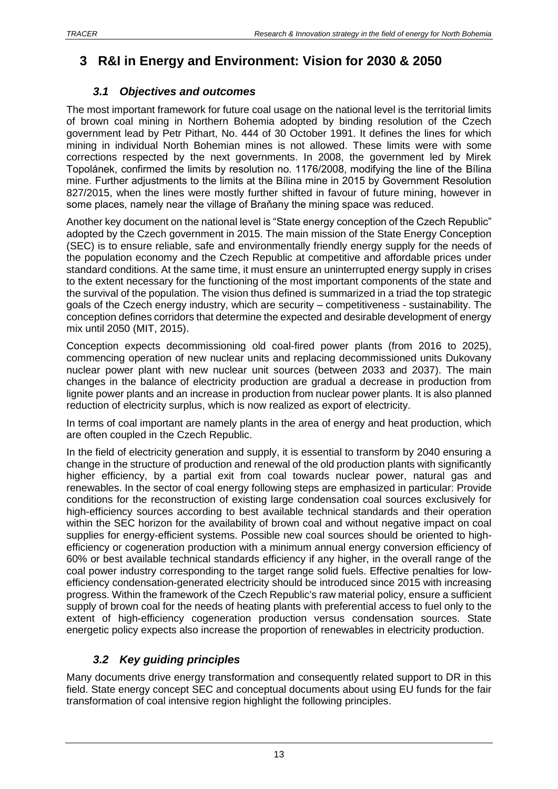# <span id="page-12-1"></span><span id="page-12-0"></span>**3 R&I in Energy and Environment: Vision for 2030 & 2050**

# *3.1 Objectives and outcomes*

The most important framework for future coal usage on the national level is the territorial limits of brown coal mining in Northern Bohemia adopted by binding resolution of the Czech government lead by Petr Pithart, No. 444 of 30 October 1991. It defines the lines for which mining in individual North Bohemian mines is not allowed. These limits were with some corrections respected by the next governments. In 2008, the government led by Mirek Topolánek, confirmed the limits by resolution no. 1176/2008, modifying the line of the Bílina mine. Further adjustments to the limits at the Bílina mine in 2015 by Government Resolution 827/2015, when the lines were mostly further shifted in favour of future mining, however in some places, namely near the village of Braňany the mining space was reduced.

Another key document on the national level is "State energy conception of the Czech Republic" adopted by the Czech government in 2015. The main mission of the State Energy Conception (SEC) is to ensure reliable, safe and environmentally friendly energy supply for the needs of the population economy and the Czech Republic at competitive and affordable prices under standard conditions. At the same time, it must ensure an uninterrupted energy supply in crises to the extent necessary for the functioning of the most important components of the state and the survival of the population. The vision thus defined is summarized in a triad the top strategic goals of the Czech energy industry, which are security – competitiveness - sustainability. The conception defines corridors that determine the expected and desirable development of energy mix until 2050 (MIT, 2015).

Conception expects decommissioning old coal-fired power plants (from 2016 to 2025), commencing operation of new nuclear units and replacing decommissioned units Dukovany nuclear power plant with new nuclear unit sources (between 2033 and 2037). The main changes in the balance of electricity production are gradual a decrease in production from lignite power plants and an increase in production from nuclear power plants. It is also planned reduction of electricity surplus, which is now realized as export of electricity.

In terms of coal important are namely plants in the area of energy and heat production, which are often coupled in the Czech Republic.

In the field of electricity generation and supply, it is essential to transform by 2040 ensuring a change in the structure of production and renewal of the old production plants with significantly higher efficiency, by a partial exit from coal towards nuclear power, natural gas and renewables. In the sector of coal energy following steps are emphasized in particular: Provide conditions for the reconstruction of existing large condensation coal sources exclusively for high-efficiency sources according to best available technical standards and their operation within the SEC horizon for the availability of brown coal and without negative impact on coal supplies for energy-efficient systems. Possible new coal sources should be oriented to highefficiency or cogeneration production with a minimum annual energy conversion efficiency of 60% or best available technical standards efficiency if any higher, in the overall range of the coal power industry corresponding to the target range solid fuels. Effective penalties for lowefficiency condensation-generated electricity should be introduced since 2015 with increasing progress. Within the framework of the Czech Republic's raw material policy, ensure a sufficient supply of brown coal for the needs of heating plants with preferential access to fuel only to the extent of high-efficiency cogeneration production versus condensation sources. State energetic policy expects also increase the proportion of renewables in electricity production.

# *3.2 Key guiding principles*

<span id="page-12-2"></span>Many documents drive energy transformation and consequently related support to DR in this field. State energy concept SEC and conceptual documents about using EU funds for the fair transformation of coal intensive region highlight the following principles.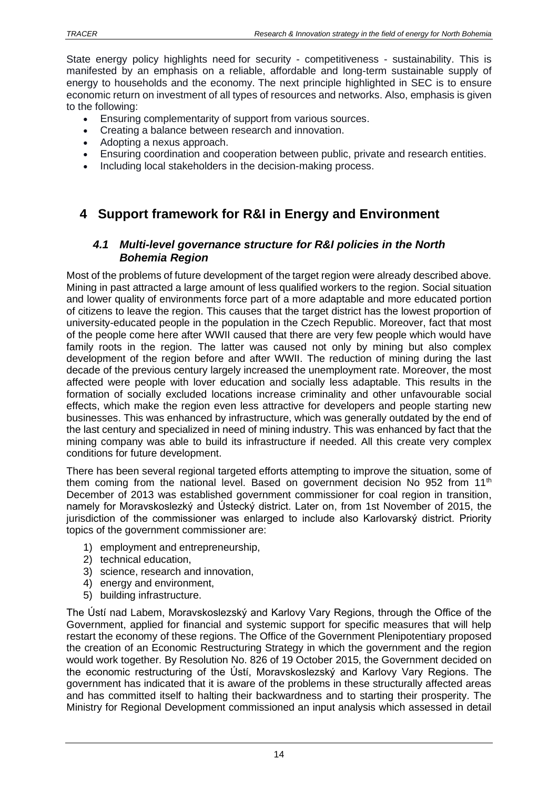State energy policy highlights need for security - competitiveness - sustainability. This is manifested by an emphasis on a reliable, affordable and long-term sustainable supply of energy to households and the economy. The next principle highlighted in SEC is to ensure economic return on investment of all types of resources and networks. Also, emphasis is given to the following:

- Ensuring complementarity of support from various sources.
- Creating a balance between research and innovation.
- Adopting a nexus approach.
- Ensuring coordination and cooperation between public, private and research entities.
- Including local stakeholders in the decision-making process.

# <span id="page-13-1"></span><span id="page-13-0"></span>**4 Support framework for R&I in Energy and Environment**

### *4.1 Multi-level governance structure for R&I policies in the North Bohemia Region*

Most of the problems of future development of the target region were already described above. Mining in past attracted a large amount of less qualified workers to the region. Social situation and lower quality of environments force part of a more adaptable and more educated portion of citizens to leave the region. This causes that the target district has the lowest proportion of university-educated people in the population in the Czech Republic. Moreover, fact that most of the people come here after WWII caused that there are very few people which would have family roots in the region. The latter was caused not only by mining but also complex development of the region before and after WWII. The reduction of mining during the last decade of the previous century largely increased the unemployment rate. Moreover, the most affected were people with lover education and socially less adaptable. This results in the formation of socially excluded locations increase criminality and other unfavourable social effects, which make the region even less attractive for developers and people starting new businesses. This was enhanced by infrastructure, which was generally outdated by the end of the last century and specialized in need of mining industry. This was enhanced by fact that the mining company was able to build its infrastructure if needed. All this create very complex conditions for future development.

There has been several regional targeted efforts attempting to improve the situation, some of them coming from the national level. Based on government decision No 952 from 11<sup>th</sup> December of 2013 was established government commissioner for coal region in transition, namely for Moravskoslezký and Ústecký district. Later on, from 1st November of 2015, the jurisdiction of the commissioner was enlarged to include also Karlovarský district. Priority topics of the government commissioner are:

- 1) employment and entrepreneurship,
- 2) technical education,
- 3) science, research and innovation,
- 4) energy and environment,
- 5) building infrastructure.

The Ústí nad Labem, Moravskoslezský and Karlovy Vary Regions, through the Office of the Government, applied for financial and systemic support for specific measures that will help restart the economy of these regions. The Office of the Government Plenipotentiary proposed the creation of an Economic Restructuring Strategy in which the government and the region would work together. By Resolution No. 826 of 19 October 2015, the Government decided on the economic restructuring of the Ústí, Moravskoslezský and Karlovy Vary Regions. The government has indicated that it is aware of the problems in these structurally affected areas and has committed itself to halting their backwardness and to starting their prosperity. The Ministry for Regional Development commissioned an input analysis which assessed in detail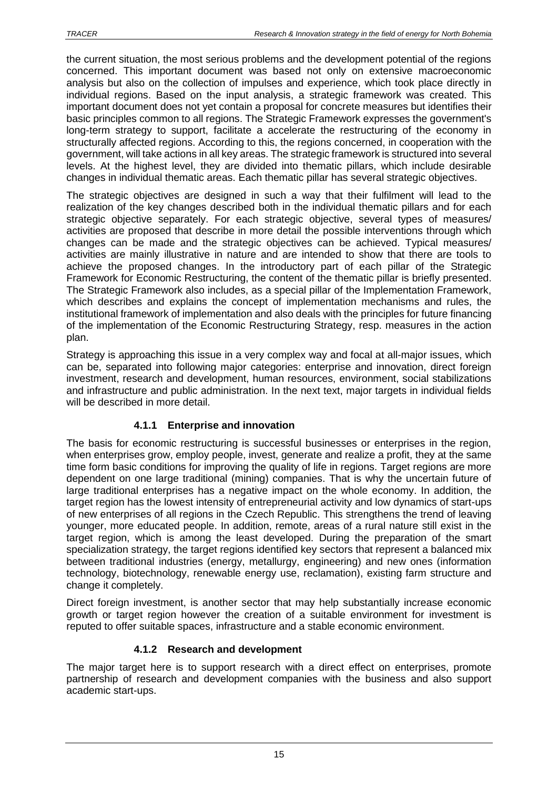the current situation, the most serious problems and the development potential of the regions concerned. This important document was based not only on extensive macroeconomic analysis but also on the collection of impulses and experience, which took place directly in individual regions. Based on the input analysis, a strategic framework was created. This important document does not yet contain a proposal for concrete measures but identifies their basic principles common to all regions. The Strategic Framework expresses the government's long-term strategy to support, facilitate a accelerate the restructuring of the economy in structurally affected regions. According to this, the regions concerned, in cooperation with the government, will take actions in all key areas. The strategic framework is structured into several levels. At the highest level, they are divided into thematic pillars, which include desirable changes in individual thematic areas. Each thematic pillar has several strategic objectives.

The strategic objectives are designed in such a way that their fulfilment will lead to the realization of the key changes described both in the individual thematic pillars and for each strategic objective separately. For each strategic objective, several types of measures/ activities are proposed that describe in more detail the possible interventions through which changes can be made and the strategic objectives can be achieved. Typical measures/ activities are mainly illustrative in nature and are intended to show that there are tools to achieve the proposed changes. In the introductory part of each pillar of the Strategic Framework for Economic Restructuring, the content of the thematic pillar is briefly presented. The Strategic Framework also includes, as a special pillar of the Implementation Framework, which describes and explains the concept of implementation mechanisms and rules, the institutional framework of implementation and also deals with the principles for future financing of the implementation of the Economic Restructuring Strategy, resp. measures in the action plan.

Strategy is approaching this issue in a very complex way and focal at all-major issues, which can be, separated into following major categories: enterprise and innovation, direct foreign investment, research and development, human resources, environment, social stabilizations and infrastructure and public administration. In the next text, major targets in individual fields will be described in more detail.

## **4.1.1 Enterprise and innovation**

<span id="page-14-0"></span>The basis for economic restructuring is successful businesses or enterprises in the region, when enterprises grow, employ people, invest, generate and realize a profit, they at the same time form basic conditions for improving the quality of life in regions. Target regions are more dependent on one large traditional (mining) companies. That is why the uncertain future of large traditional enterprises has a negative impact on the whole economy. In addition, the target region has the lowest intensity of entrepreneurial activity and low dynamics of start-ups of new enterprises of all regions in the Czech Republic. This strengthens the trend of leaving younger, more educated people. In addition, remote, areas of a rural nature still exist in the target region, which is among the least developed. During the preparation of the smart specialization strategy, the target regions identified key sectors that represent a balanced mix between traditional industries (energy, metallurgy, engineering) and new ones (information technology, biotechnology, renewable energy use, reclamation), existing farm structure and change it completely.

Direct foreign investment, is another sector that may help substantially increase economic growth or target region however the creation of a suitable environment for investment is reputed to offer suitable spaces, infrastructure and a stable economic environment.

## **4.1.2 Research and development**

<span id="page-14-1"></span>The major target here is to support research with a direct effect on enterprises, promote partnership of research and development companies with the business and also support academic start-ups.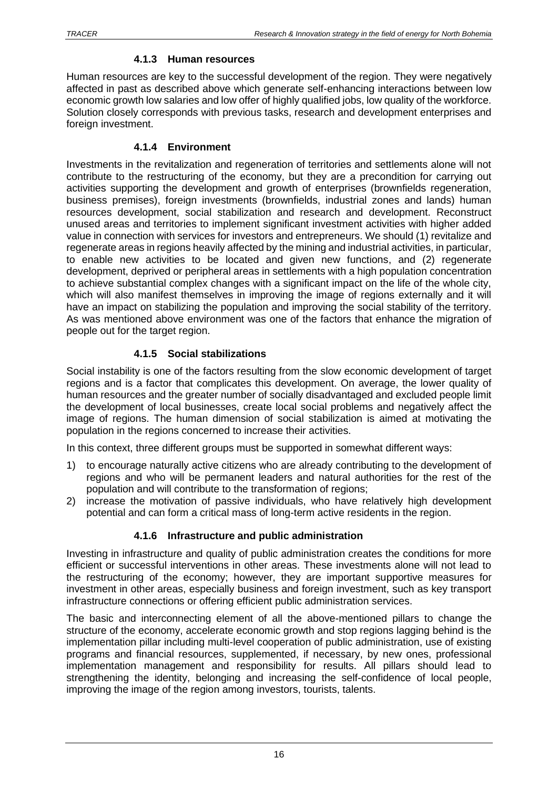#### **4.1.3 Human resources**

<span id="page-15-0"></span>Human resources are key to the successful development of the region. They were negatively affected in past as described above which generate self-enhancing interactions between low economic growth low salaries and low offer of highly qualified jobs, low quality of the workforce. Solution closely corresponds with previous tasks, research and development enterprises and foreign investment.

### **4.1.4 Environment**

<span id="page-15-1"></span>Investments in the revitalization and regeneration of territories and settlements alone will not contribute to the restructuring of the economy, but they are a precondition for carrying out activities supporting the development and growth of enterprises (brownfields regeneration, business premises), foreign investments (brownfields, industrial zones and lands) human resources development, social stabilization and research and development. Reconstruct unused areas and territories to implement significant investment activities with higher added value in connection with services for investors and entrepreneurs. We should (1) revitalize and regenerate areas in regions heavily affected by the mining and industrial activities, in particular, to enable new activities to be located and given new functions, and (2) regenerate development, deprived or peripheral areas in settlements with a high population concentration to achieve substantial complex changes with a significant impact on the life of the whole city, which will also manifest themselves in improving the image of regions externally and it will have an impact on stabilizing the population and improving the social stability of the territory. As was mentioned above environment was one of the factors that enhance the migration of people out for the target region.

### **4.1.5 Social stabilizations**

<span id="page-15-2"></span>Social instability is one of the factors resulting from the slow economic development of target regions and is a factor that complicates this development. On average, the lower quality of human resources and the greater number of socially disadvantaged and excluded people limit the development of local businesses, create local social problems and negatively affect the image of regions. The human dimension of social stabilization is aimed at motivating the population in the regions concerned to increase their activities.

In this context, three different groups must be supported in somewhat different ways:

- 1) to encourage naturally active citizens who are already contributing to the development of regions and who will be permanent leaders and natural authorities for the rest of the population and will contribute to the transformation of regions;
- 2) increase the motivation of passive individuals, who have relatively high development potential and can form a critical mass of long-term active residents in the region.

### **4.1.6 Infrastructure and public administration**

<span id="page-15-3"></span>Investing in infrastructure and quality of public administration creates the conditions for more efficient or successful interventions in other areas. These investments alone will not lead to the restructuring of the economy; however, they are important supportive measures for investment in other areas, especially business and foreign investment, such as key transport infrastructure connections or offering efficient public administration services.

The basic and interconnecting element of all the above-mentioned pillars to change the structure of the economy, accelerate economic growth and stop regions lagging behind is the implementation pillar including multi-level cooperation of public administration, use of existing programs and financial resources, supplemented, if necessary, by new ones, professional implementation management and responsibility for results. All pillars should lead to strengthening the identity, belonging and increasing the self-confidence of local people, improving the image of the region among investors, tourists, talents.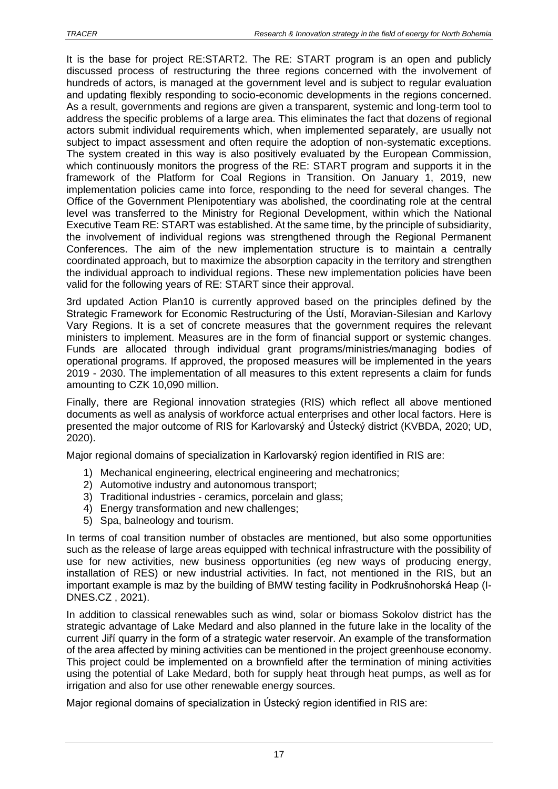It is the base for project RE:START2. The RE: START program is an open and publicly discussed process of restructuring the three regions concerned with the involvement of hundreds of actors, is managed at the government level and is subject to regular evaluation and updating flexibly responding to socio-economic developments in the regions concerned. As a result, governments and regions are given a transparent, systemic and long-term tool to address the specific problems of a large area. This eliminates the fact that dozens of regional actors submit individual requirements which, when implemented separately, are usually not subject to impact assessment and often require the adoption of non-systematic exceptions. The system created in this way is also positively evaluated by the European Commission, which continuously monitors the progress of the RE: START program and supports it in the framework of the Platform for Coal Regions in Transition. On January 1, 2019, new implementation policies came into force, responding to the need for several changes. The Office of the Government Plenipotentiary was abolished, the coordinating role at the central level was transferred to the Ministry for Regional Development, within which the National Executive Team RE: START was established. At the same time, by the principle of subsidiarity, the involvement of individual regions was strengthened through the Regional Permanent Conferences. The aim of the new implementation structure is to maintain a centrally coordinated approach, but to maximize the absorption capacity in the territory and strengthen the individual approach to individual regions. These new implementation policies have been valid for the following years of RE: START since their approval.

3rd updated Action Plan10 is currently approved based on the principles defined by the Strategic Framework for Economic Restructuring of the Ústí, Moravian-Silesian and Karlovy Vary Regions. It is a set of concrete measures that the government requires the relevant ministers to implement. Measures are in the form of financial support or systemic changes. Funds are allocated through individual grant programs/ministries/managing bodies of operational programs. If approved, the proposed measures will be implemented in the years 2019 - 2030. The implementation of all measures to this extent represents a claim for funds amounting to CZK 10,090 million.

Finally, there are Regional innovation strategies (RIS) which reflect all above mentioned documents as well as analysis of workforce actual enterprises and other local factors. Here is presented the major outcome of RIS for Karlovarský and Ústecký district (KVBDA, 2020; UD, 2020).

Major regional domains of specialization in Karlovarský region identified in RIS are:

- 1) Mechanical engineering, electrical engineering and mechatronics;
- 2) Automotive industry and autonomous transport;
- 3) Traditional industries ceramics, porcelain and glass;
- 4) Energy transformation and new challenges;
- 5) Spa, balneology and tourism.

In terms of coal transition number of obstacles are mentioned, but also some opportunities such as the release of large areas equipped with technical infrastructure with the possibility of use for new activities, new business opportunities (eg new ways of producing energy, installation of RES) or new industrial activities. In fact, not mentioned in the RIS, but an important example is maz by the building of BMW testing facility in Podkrušnohorská Heap (I-DNES.CZ , 2021).

In addition to classical renewables such as wind, solar or biomass Sokolov district has the strategic advantage of Lake Medard and also planned in the future lake in the locality of the current Jiří quarry in the form of a strategic water reservoir. An example of the transformation of the area affected by mining activities can be mentioned in the project greenhouse economy. This project could be implemented on a brownfield after the termination of mining activities using the potential of Lake Medard, both for supply heat through heat pumps, as well as for irrigation and also for use other renewable energy sources.

Major regional domains of specialization in Ústecký region identified in RIS are: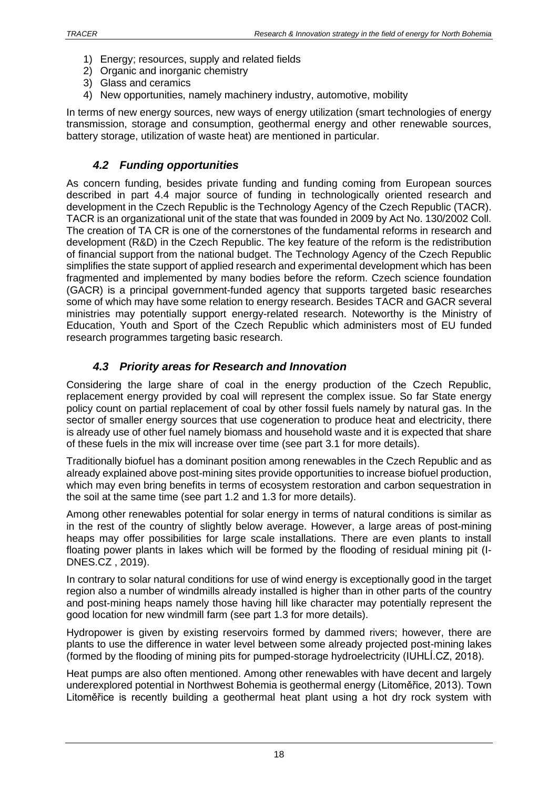- 1) Energy; resources, supply and related fields
- 2) Organic and inorganic chemistry
- 3) Glass and ceramics
- 4) New opportunities, namely machinery industry, automotive, mobility

In terms of new energy sources, new ways of energy utilization (smart technologies of energy transmission, storage and consumption, geothermal energy and other renewable sources, battery storage, utilization of waste heat) are mentioned in particular.

## *4.2 Funding opportunities*

<span id="page-17-0"></span>As concern funding, besides private funding and funding coming from European sources described in part 4.4 major source of funding in technologically oriented research and development in the Czech Republic is the Technology Agency of the Czech Republic (TACR). TACR is an organizational unit of the state that was founded in 2009 by Act No. 130/2002 Coll. The creation of TA CR is one of the cornerstones of the fundamental reforms in research and development (R&D) in the Czech Republic. The key feature of the reform is the redistribution of financial support from the national budget. The Technology Agency of the Czech Republic simplifies the state support of applied research and experimental development which has been fragmented and implemented by many bodies before the reform. Czech science foundation (GACR) is a principal government-funded agency that supports targeted basic researches some of which may have some relation to energy research. Besides TACR and GACR several ministries may potentially support energy-related research. Noteworthy is the Ministry of Education, Youth and Sport of the Czech Republic which administers most of EU funded research programmes targeting basic research.

## *4.3 Priority areas for Research and Innovation*

<span id="page-17-1"></span>Considering the large share of coal in the energy production of the Czech Republic, replacement energy provided by coal will represent the complex issue. So far State energy policy count on partial replacement of coal by other fossil fuels namely by natural gas. In the sector of smaller energy sources that use cogeneration to produce heat and electricity, there is already use of other fuel namely biomass and household waste and it is expected that share of these fuels in the mix will increase over time (see part 3.1 for more details).

Traditionally biofuel has a dominant position among renewables in the Czech Republic and as already explained above post-mining sites provide opportunities to increase biofuel production, which may even bring benefits in terms of ecosystem restoration and carbon sequestration in the soil at the same time (see part 1.2 and 1.3 for more details).

Among other renewables potential for solar energy in terms of natural conditions is similar as in the rest of the country of slightly below average. However, a large areas of post-mining heaps may offer possibilities for large scale installations. There are even plants to install floating power plants in lakes which will be formed by the flooding of residual mining pit (I-DNES.CZ , 2019).

In contrary to solar natural conditions for use of wind energy is exceptionally good in the target region also a number of windmills already installed is higher than in other parts of the country and post-mining heaps namely those having hill like character may potentially represent the good location for new windmill farm (see part 1.3 for more details).

Hydropower is given by existing reservoirs formed by dammed rivers; however, there are plants to use the difference in water level between some already projected post-mining lakes (formed by the flooding of mining pits for pumped-storage hydroelectricity (IUHLÍ.CZ, 2018).

Heat pumps are also often mentioned. Among other renewables with have decent and largely underexplored potential in Northwest Bohemia is geothermal energy (Litoměřice, 2013). Town Litoměřice is recently building a geothermal heat plant using a hot dry rock system with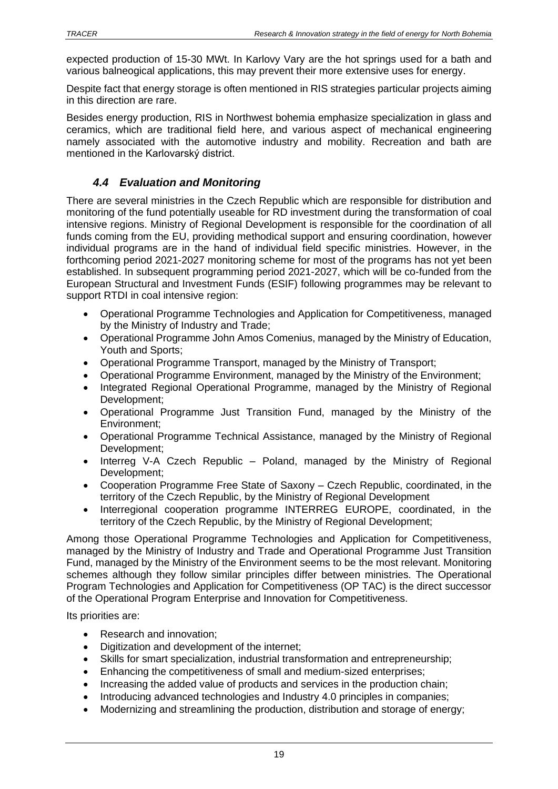expected production of 15-30 MWt. In Karlovy Vary are the hot springs used for a bath and various balneogical applications, this may prevent their more extensive uses for energy.

Despite fact that energy storage is often mentioned in RIS strategies particular projects aiming in this direction are rare.

Besides energy production, RIS in Northwest bohemia emphasize specialization in glass and ceramics, which are traditional field here, and various aspect of mechanical engineering namely associated with the automotive industry and mobility. Recreation and bath are mentioned in the Karlovarský district.

### *4.4 Evaluation and Monitoring*

<span id="page-18-0"></span>There are several ministries in the Czech Republic which are responsible for distribution and monitoring of the fund potentially useable for RD investment during the transformation of coal intensive regions. Ministry of Regional Development is responsible for the coordination of all funds coming from the EU, providing methodical support and ensuring coordination, however individual programs are in the hand of individual field specific ministries. However, in the forthcoming period 2021-2027 monitoring scheme for most of the programs has not yet been established. In subsequent programming period 2021-2027, which will be co-funded from the European Structural and Investment Funds (ESIF) following programmes may be relevant to support RTDI in coal intensive region:

- Operational Programme Technologies and Application for Competitiveness, managed by the Ministry of Industry and Trade;
- Operational Programme John Amos Comenius, managed by the Ministry of Education, Youth and Sports;
- Operational Programme Transport, managed by the Ministry of Transport;
- Operational Programme Environment, managed by the Ministry of the Environment;
- Integrated Regional Operational Programme, managed by the Ministry of Regional Development;
- Operational Programme Just Transition Fund, managed by the Ministry of the Environment;
- Operational Programme Technical Assistance, managed by the Ministry of Regional Development;
- Interreg V-A Czech Republic Poland, managed by the Ministry of Regional Development;
- Cooperation Programme Free State of Saxony Czech Republic, coordinated, in the territory of the Czech Republic, by the Ministry of Regional Development
- Interregional cooperation programme INTERREG EUROPE, coordinated, in the territory of the Czech Republic, by the Ministry of Regional Development;

Among those Operational Programme Technologies and Application for Competitiveness, managed by the Ministry of Industry and Trade and Operational Programme Just Transition Fund, managed by the Ministry of the Environment seems to be the most relevant. Monitoring schemes although they follow similar principles differ between ministries. The Operational Program Technologies and Application for Competitiveness (OP TAC) is the direct successor of the Operational Program Enterprise and Innovation for Competitiveness.

Its priorities are:

- Research and innovation;
- Digitization and development of the internet;
- Skills for smart specialization, industrial transformation and entrepreneurship;
- Enhancing the competitiveness of small and medium-sized enterprises;
- Increasing the added value of products and services in the production chain;
- Introducing advanced technologies and Industry 4.0 principles in companies;
- Modernizing and streamlining the production, distribution and storage of energy;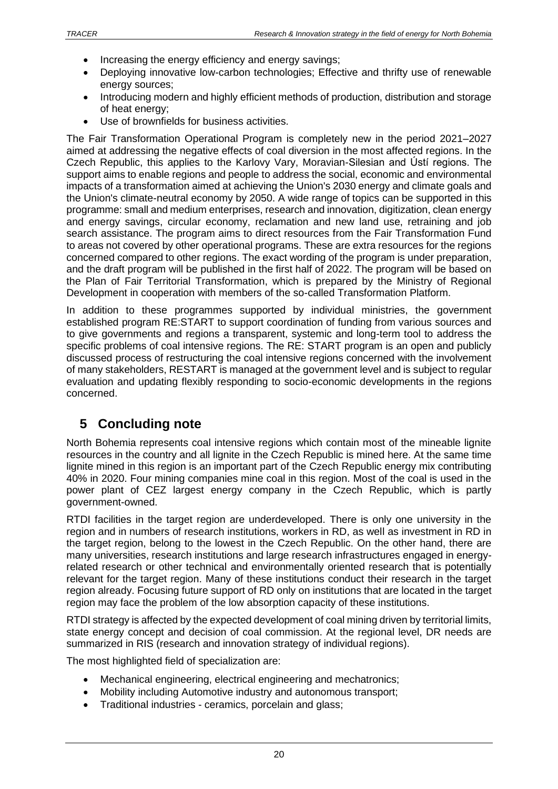- Increasing the energy efficiency and energy savings:
- Deploying innovative low-carbon technologies; Effective and thrifty use of renewable energy sources;
- Introducing modern and highly efficient methods of production, distribution and storage of heat energy;
- Use of brownfields for business activities.

The Fair Transformation Operational Program is completely new in the period 2021–2027 aimed at addressing the negative effects of coal diversion in the most affected regions. In the Czech Republic, this applies to the Karlovy Vary, Moravian-Silesian and Ústí regions. The support aims to enable regions and people to address the social, economic and environmental impacts of a transformation aimed at achieving the Union's 2030 energy and climate goals and the Union's climate-neutral economy by 2050. A wide range of topics can be supported in this programme: small and medium enterprises, research and innovation, digitization, clean energy and energy savings, circular economy, reclamation and new land use, retraining and job search assistance. The program aims to direct resources from the Fair Transformation Fund to areas not covered by other operational programs. These are extra resources for the regions concerned compared to other regions. The exact wording of the program is under preparation, and the draft program will be published in the first half of 2022. The program will be based on the Plan of Fair Territorial Transformation, which is prepared by the Ministry of Regional Development in cooperation with members of the so-called Transformation Platform.

In addition to these programmes supported by individual ministries, the government established program RE:START to support coordination of funding from various sources and to give governments and regions a transparent, systemic and long-term tool to address the specific problems of coal intensive regions. The RE: START program is an open and publicly discussed process of restructuring the coal intensive regions concerned with the involvement of many stakeholders, RESTART is managed at the government level and is subject to regular evaluation and updating flexibly responding to socio-economic developments in the regions concerned.

# <span id="page-19-0"></span>**5 Concluding note**

North Bohemia represents coal intensive regions which contain most of the mineable lignite resources in the country and all lignite in the Czech Republic is mined here. At the same time lignite mined in this region is an important part of the Czech Republic energy mix contributing 40% in 2020. Four mining companies mine coal in this region. Most of the coal is used in the power plant of CEZ largest energy company in the Czech Republic, which is partly government-owned.

RTDI facilities in the target region are underdeveloped. There is only one university in the region and in numbers of research institutions, workers in RD, as well as investment in RD in the target region, belong to the lowest in the Czech Republic. On the other hand, there are many universities, research institutions and large research infrastructures engaged in energyrelated research or other technical and environmentally oriented research that is potentially relevant for the target region. Many of these institutions conduct their research in the target region already. Focusing future support of RD only on institutions that are located in the target region may face the problem of the low absorption capacity of these institutions.

RTDI strategy is affected by the expected development of coal mining driven by territorial limits, state energy concept and decision of coal commission. At the regional level, DR needs are summarized in RIS (research and innovation strategy of individual regions).

The most highlighted field of specialization are:

- Mechanical engineering, electrical engineering and mechatronics;
- Mobility including Automotive industry and autonomous transport;
- Traditional industries ceramics, porcelain and glass;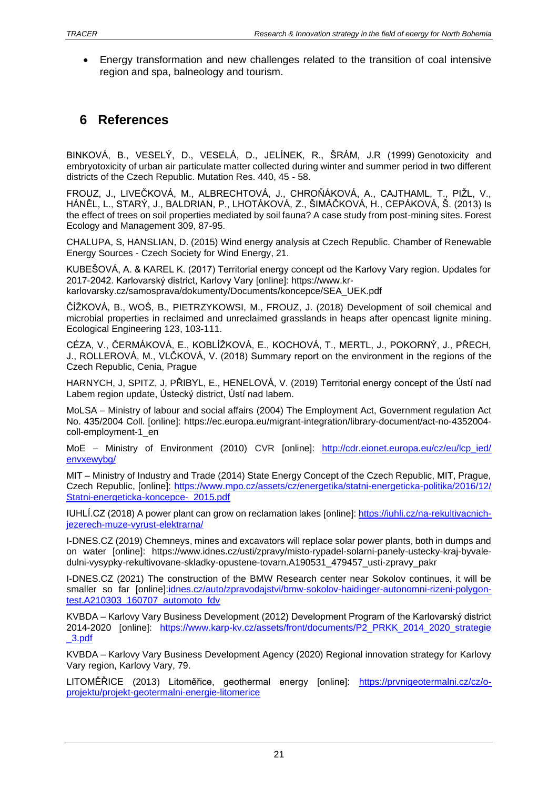• Energy transformation and new challenges related to the transition of coal intensive region and spa, balneology and tourism.

# <span id="page-20-0"></span>**6 References**

BINKOVÁ, B., VESELÝ, D., VESELÁ, D., JELÍNEK, R., ŠRÁM, J.R (1999) Genotoxicity and embryotoxicity of urban air particulate matter collected during winter and summer period in two different districts of the Czech Republic. Mutation Res. 440, 45 - 58.

FROUZ, J., LIVEČKOVÁ, M., ALBRECHTOVÁ, J., CHROŇÁKOVÁ, A., CAJTHAML, T., PIŽL, V., HÁNĚL, L., STARÝ, J., BALDRIAN, P., LHOTÁKOVÁ, Z., ŠIMÁČKOVÁ, H., CEPÁKOVÁ, Š. (2013) Is the effect of trees on soil properties mediated by soil fauna? A case study from post-mining sites. Forest Ecology and Management 309, 87-95.

CHALUPA, S, HANSLIAN, D. (2015) Wind energy analysis at Czech Republic. Chamber of Renewable Energy Sources - Czech Society for Wind Energy, 21.

KUBEŠOVÁ, A. & KAREL K. (2017) Territorial energy concept od the Karlovy Vary region. Updates for 2017-2042. Karlovarský district, Karlovy Vary [online]: https://www.kr-

karlovarsky.cz/samosprava/dokumenty/Documents/koncepce/SEA\_UEK.pdf

ČÍŽKOVÁ, B., WOŚ, B., PIETRZYKOWSI, M., FROUZ, J. (2018) Development of soil chemical and microbial properties in reclaimed and unreclaimed grasslands in heaps after opencast lignite mining. Ecological Engineering 123, 103-111.

CÉZA, V., ČERMÁKOVÁ, E., KOBLÍŽKOVÁ, E., KOCHOVÁ, T., MERTL, J., POKORNÝ, J., PŘECH, J., ROLLEROVÁ, M., VLČKOVÁ, V. (2018) Summary report on the environment in the regions of the Czech Republic, Cenia, Prague

HARNYCH, J, SPITZ, J, PŘIBYL, E., HENELOVÁ, V. (2019) Territorial energy concept of the Ústí nad Labem region update, Ústecký district, Ústí nad labem.

MoLSA – Ministry of labour and social affairs (2004) The Employment Act, Government regulation Act No. 435/2004 Coll. [online]: https://ec.europa.eu/migrant-integration/library-document/act-no-4352004 coll-employment-1\_en

MoE – Ministry of Environment (2010) CVR [online]: http://cdr.eionet.europa.eu/cz/eu/lcp\_ied/ [envxewybg/](http://cdr.eionet.europa.eu/cz/eu/lcp_ied/%20envxewybg/)

MIT – Ministry of Industry and Trade (2014) State Energy Concept of the Czech Republic, MIT, Prague, Czech Republic, [online]: [https://www.mpo.cz/assets/cz/energetika/statni-energeticka-politika/2016/12/](https://www.mpo.cz/assets/cz/energetika/statni-energeticka-politika/2016/12/%20Statni-energeticka-koncepce-_2015.pdf)  [Statni-energeticka-koncepce-\\_2015.pdf](https://www.mpo.cz/assets/cz/energetika/statni-energeticka-politika/2016/12/%20Statni-energeticka-koncepce-_2015.pdf)

IUHLÍ.CZ (2018) A power plant can grow on reclamation lakes [online][: https://iuhli.cz/na-rekultivacnich](https://iuhli.cz/na-rekultivacnich-jezerech-muze-vyrust-elektrarna/)[jezerech-muze-vyrust-elektrarna/](https://iuhli.cz/na-rekultivacnich-jezerech-muze-vyrust-elektrarna/)

I-DNES.CZ (2019) Chemneys, mines and excavators will replace solar power plants, both in dumps and on water [online]: https://www.idnes.cz/usti/zpravy/misto-rypadel-solarni-panely-ustecky-kraj-byvaledulni-vysypky-rekultivovane-skladky-opustene-tovarn.A190531\_479457\_usti-zpravy\_pakr

I-DNES.CZ (2021) The construction of the BMW Research center near Sokolov continues, it will be smaller so far [online]:idnes.cz/auto/zpravodajstvi/bmw-sokolov-haidinger-autonomni-rizeni-polygontest.A210303\_160707\_automoto\_fdv

KVBDA – Karlovy Vary Business Development (2012) [Development Program of the Karlovarský district](file:///C:/Users/JF/Downloads/Development%20Program%20of%20the%20Karlovarský%20district) 2014-2020 [online]: [https://www.karp-kv.cz/assets/front/documents/P2\\_PRKK\\_2014\\_2020\\_strategie](https://www.karp-kv.cz/assets/front/documents/P2_PRKK_2014_2020_strategie%20_3.pdf)  [\\_3.pdf](https://www.karp-kv.cz/assets/front/documents/P2_PRKK_2014_2020_strategie%20_3.pdf)

KVBDA – Karlovy Vary Business Development Agency (2020) Regional innovation strategy for Karlovy Vary region, Karlovy Vary, 79.

LITOMĚŘICE (2013) Litoměřice, geothermal energy [online]: [https://prvnigeotermalni.cz/cz/o](https://prvnigeotermalni.cz/cz/o-projektu/projekt-geotermalni-energie-litomerice)[projektu/projekt-geotermalni-energie-litomerice](https://prvnigeotermalni.cz/cz/o-projektu/projekt-geotermalni-energie-litomerice)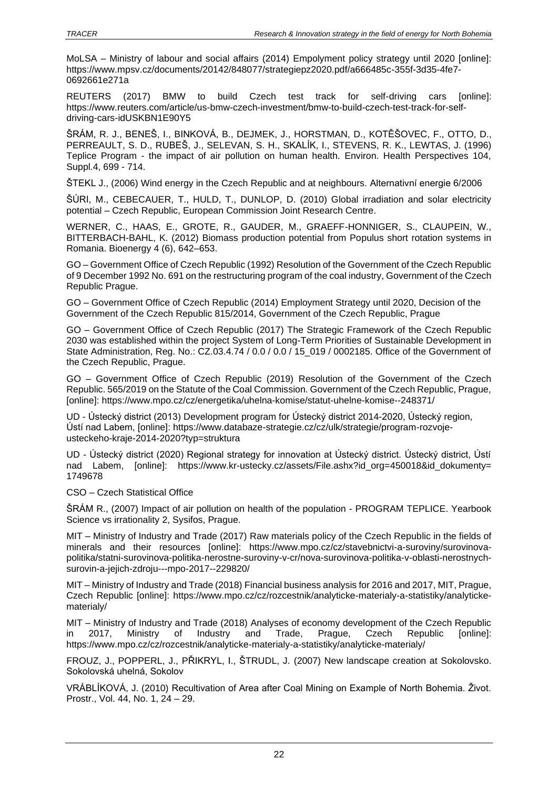MoLSA – Ministry of labour and social affairs (2014) Empolyment policy strategy until 2020 [online]: https://www.mpsv.cz/documents/20142/848077/strategiepz2020.pdf/a666485c-355f-3d35-4fe7- 0692661e271a

REUTERS (2017) BMW to build Czech test track for self-driving cars [online]: [https://www.reuters.com/article/us-bmw-czech-investment/bmw-to-build-czech-test-track-for-self](https://www.reuters.com/article/us-bmw-czech-investment/bmw-to-build-czech-test-track-for-self-driving-cars-idUSKBN1E90Y5)[driving-cars-idUSKBN1E90Y5](https://www.reuters.com/article/us-bmw-czech-investment/bmw-to-build-czech-test-track-for-self-driving-cars-idUSKBN1E90Y5)

ŠRÁM, R. J., BENEŠ, I., BINKOVÁ, B., DEJMEK, J., HORSTMAN, D., KOTĚŠOVEC, F., OTTO, D., PERREAULT, S. D., RUBEŠ, J., SELEVAN, S. H., SKALÍK, I., STEVENS, R. K., LEWTAS, J. (1996) Teplice Program - the impact of air pollution on human health. Environ. Health Perspectives 104, Suppl.4, 699 - 714.

ŠTEKL J., (2006) Wind energy in the Czech Republic and at neighbours. Alternativní energie 6/2006

ŠÚRI, M., CEBECAUER, T., HULD, T., DUNLOP, D. (2010) Global irradiation and solar electricity potential – Czech Republic, European Commission Joint Research Centre.

WERNER, C., HAAS, E., GROTE, R., GAUDER, M., GRAEFF-HONNIGER, S., CLAUPEIN, W., BITTERBACH-BAHL, K. (2012) Biomass production potential from Populus short rotation systems in Romania. Bioenergy 4 (6), 642–653.

GO – Government Office of Czech Republic (1992) Resolution of the Government of the Czech Republic of 9 December 1992 No. 691 on the restructuring program of the coal industry, Government of the Czech Republic Prague.

GO – Government Office of Czech Republic (2014) Employment Strategy until 2020, Decision of the Government of the Czech Republic 815/2014, Government of the Czech Republic, Prague

GO – Government Office of Czech Republic (2017) The Strategic Framework of the Czech Republic 2030 was established within the project System of Long-Term Priorities of Sustainable Development in State Administration, Reg. No.: CZ.03.4.74 / 0.0 / 0.0 / 15\_019 / 0002185. Office of the Government of the Czech Republic, Prague.

GO – Government Office of Czech Republic (2019) Resolution of the Government of the Czech Republic. 565/2019 on the Statute of the Coal Commission. Government of the Czech Republic, Prague, [online]: https://www.mpo.cz/cz/energetika/uhelna-komise/statut-uhelne-komise--248371/

UD - Ústecký district (2013) Development program for Ústecký district 2014-2020, Ústecký region, Ústí nad Labem, [online]: https://www.databaze-strategie.cz/cz/ulk/strategie/program-rozvojeusteckeho-kraje-2014-2020?typ=struktura

UD - Ústecký district (2020) Regional strategy for innovation at Ústecký district. Ústecký district, Ústí nad Labem, [online]: https://www.kr-ustecky.cz/assets/File.ashx?id\_org=450018&id\_dokumenty= 1749678

CSO – Czech Statistical Office

ŠRÁM R., (2007) Impact of air pollution on health of the population - PROGRAM TEPLICE. Yearbook Science vs irrationality 2, Sysifos, Prague.

MIT – Ministry of Industry and Trade (2017) Raw materials policy of the Czech Republic in the fields of minerals and their resources [online]: https://www.mpo.cz/cz/stavebnictvi-a-suroviny/surovinovapolitika/statni-surovinova-politika-nerostne-suroviny-v-cr/nova-surovinova-politika-v-oblasti-nerostnychsurovin-a-jejich-zdroju---mpo-2017--229820/

MIT – Ministry of Industry and Trade (2018) Financial business analysis for 2016 and 2017, MIT, Prague, Czech Republic [online]: https://www.mpo.cz/cz/rozcestnik/analyticke-materialy-a-statistiky/analytickematerialy/

MIT – Ministry of Industry and Trade (2018) Analyses of economy development of the Czech Republic in 2017, Ministry of Industry and Trade, Prague, Czech Republic [online]: https://www.mpo.cz/cz/rozcestnik/analyticke-materialy-a-statistiky/analyticke-materialy/

FROUZ, J., POPPERL, J., PŘIKRYL, I., ŠTRUDL, J. (2007) New landscape creation at Sokolovsko. Sokolovská uhelná, Sokolov

VRÁBLÍKOVÁ, J. (2010) Recultivation of Area after Coal Mining on Example of North Bohemia. Život. Prostr., Vol. 44, No. 1, 24 – 29.